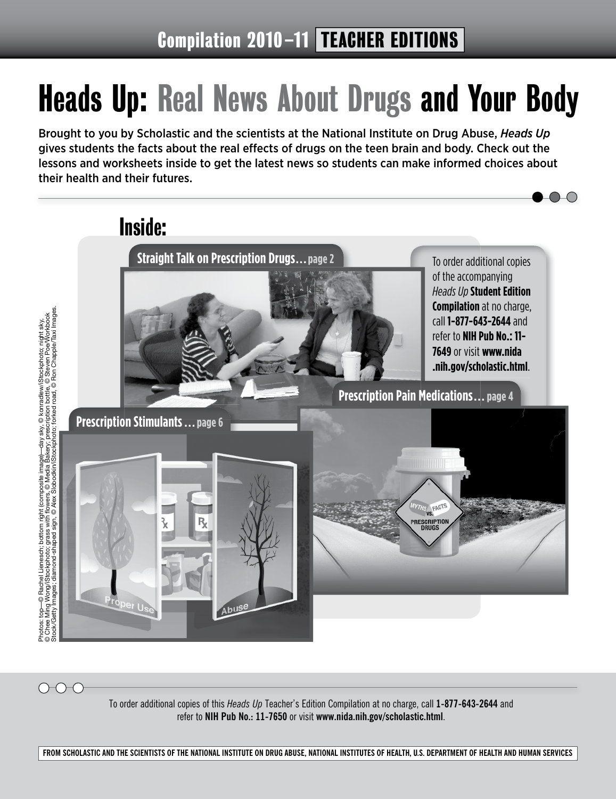# Heads Up: Real News About Drugs and Your Body

Brought to you by Scholastic and the scientists at the National Institute on Drug Abuse, *Heads Up* gives students the facts about the real effects of drugs on the teen brain and body. Check out the lessons and worksheets inside to get the latest news so students can make informed choices about their health and their futures.



To order additional copies of this *Heads Up* Teacher's Edition Compilation at no charge, call **1-877-643-2644** and refer to **NIH Pub No.: 11-7650** or visit **www.nida.nih.gov/scholastic.html**.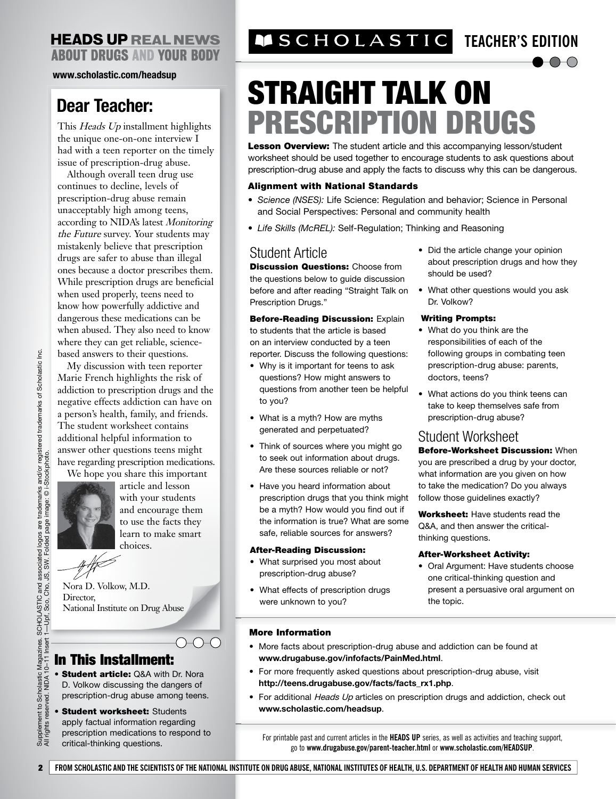**www.scholastic.com/headsup**

## **Dear Teacher:**

This Heads Up installment highlights the unique one-on-one interview I had with a teen reporter on the timely issue of prescription-drug abuse.

Although overall teen drug use continues to decline, levels of prescription-drug abuse remain unacceptably high among teens, according to NIDA's latest Monitoring the Future survey. Your students may mistakenly believe that prescription drugs are safer to abuse than illegal ones because a doctor prescribes them. While prescription drugs are beneficial when used properly, teens need to know how powerfully addictive and dangerous these medications can be when abused. They also need to know where they can get reliable, sciencebased answers to their questions.

My discussion with teen reporter Marie French highlights the risk of addiction to prescription drugs and the negative effects addiction can have on a person's health, family, and friends. The student worksheet contains additional helpful information to answer other questions teens might have regarding prescription medications. We hope you share this important



article and lesson with your students and encourage them to use the facts they learn to make smart choices.

 $\bigcirc\hspace{-0.75mm} \to \hspace{-0.75mm} \bigcirc\hspace{-0.75mm} \hspace{-0.75mm} \hspace{-0.75mm} \to \hspace{-0.75mm} \bigcirc$ 

Nora D. Volkow, M.D. Director, National Institute on Drug Abuse

## In This Installment:

- Student article: Q&A with Dr. Nora D. Volkow discussing the dangers of prescription-drug abuse among teens.
- Student worksheet: Students apply factual information regarding prescription medications to respond to All rights reserved. NIDA 10
- critical-thinking questions.

## **TEACHER'S EDITION**

# STRAIGHT TALK ON PRESCRIPTION DRUGS

Lesson Overview: The student article and this accompanying lesson/student worksheet should be used together to encourage students to ask questions about prescription-drug abuse and apply the facts to discuss why this can be dangerous.

#### Alignment with National Standards

- *Science (NSES):* Life Science: Regulation and behavior; Science in Personal and Social Perspectives: Personal and community health
- *Life Skills (McREL):* Self-Regulation; Thinking and Reasoning

## Student Article

**Discussion Questions: Choose from** the questions below to guide discussion before and after reading "Straight Talk on Prescription Drugs."

**Before-Reading Discussion: Explain** to students that the article is based on an interview conducted by a teen reporter. Discuss the following questions:

- Why is it important for teens to ask questions? How might answers to questions from another teen be helpful to you?
- What is a myth? How are myths generated and perpetuated?
- Think of sources where you might go to seek out information about drugs. Are these sources reliable or not?
- Have you heard information about prescription drugs that you think might be a myth? How would you find out if the information is true? What are some safe, reliable sources for answers?

#### After-Reading Discussion:

- What surprised you most about prescription-drug abuse?
- What effects of prescription drugs were unknown to you?
- Did the article change your opinion about prescription drugs and how they should be used?
- What other questions would you ask Dr. Volkow?

#### Writing Prompts:

- What do you think are the responsibilities of each of the following groups in combating teen prescription-drug abuse: parents, doctors, teens?
- What actions do you think teens can take to keep themselves safe from prescription-drug abuse?

## Student Worksheet

Before-Worksheet Discussion: When you are prescribed a drug by your doctor, what information are you given on how to take the medication? Do you always follow those guidelines exactly?

Worksheet: Have students read the Q&A, and then answer the criticalthinking questions.

#### After-Worksheet Activity:

• Oral Argument: Have students choose one critical-thinking question and present a persuasive oral argument on the topic.

#### More Information

- More facts about prescription-drug abuse and addiction can be found at **www.drugabuse.gov/infofacts/PainMed.html**.
- For more frequently asked questions about prescription-drug abuse, visit **http://teens.drugabuse.gov/facts/facts\_rx1.php**.
- For additional *Heads Up* articles on prescription drugs and addiction, check out **www.scholastic.com/headsup**.

For printable past and current articles in the **HEADS UP** series, as well as activities and teaching support, go to **www.drugabuse.gov/parent-teacher.html** or **www.scholastic.com/HEADSUP**.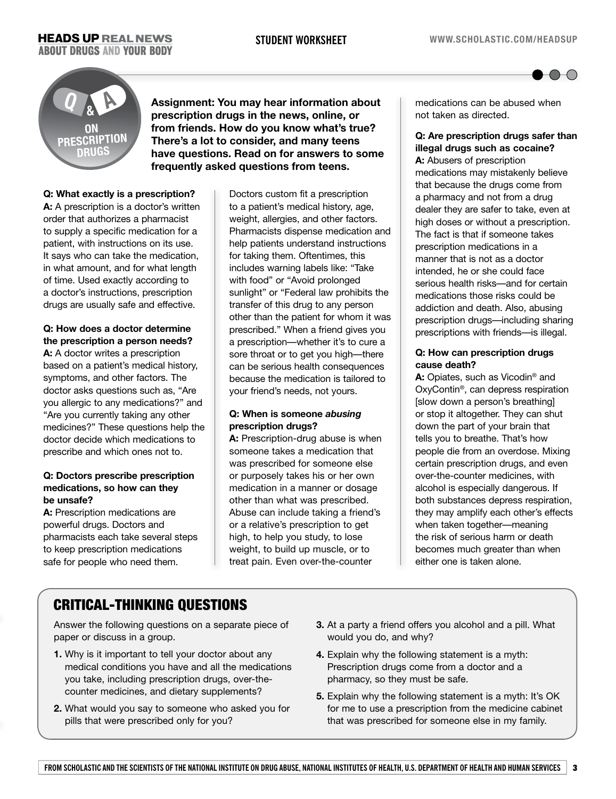

## **ON PRESCRIPTION DRUGS Q & A**

**Assignment: You may hear information about prescription drugs in the news, online, or from friends. How do you know what's true? There's a lot to consider, and many teens have questions. Read on for answers to some frequently asked questions from teens.**

### **Q: What exactly is a prescription?**

**A:** A prescription is a doctor's written order that authorizes a pharmacist to supply a specific medication for a patient, with instructions on its use. It says who can take the medication, in what amount, and for what length of time. Used exactly according to a doctor's instructions, prescription drugs are usually safe and effective.

#### **Q: How does a doctor determine the prescription a person needs?**

**A:** A doctor writes a prescription based on a patient's medical history, symptoms, and other factors. The doctor asks questions such as, "Are you allergic to any medications?" and "Are you currently taking any other medicines?" These questions help the doctor decide which medications to prescribe and which ones not to.

#### **Q: Doctors prescribe prescription medications, so how can they be unsafe?**

A: Prescription medications are powerful drugs. Doctors and pharmacists each take several steps to keep prescription medications safe for people who need them.

Doctors custom fit a prescription to a patient's medical history, age, weight, allergies, and other factors. Pharmacists dispense medication and help patients understand instructions for taking them. Oftentimes, this includes warning labels like: "Take with food" or "Avoid prolonged sunlight" or "Federal law prohibits the transfer of this drug to any person other than the patient for whom it was prescribed." When a friend gives you a prescription—whether it's to cure a sore throat or to get you high—there can be serious health consequences because the medication is tailored to your friend's needs, not yours.

### **Q: When is someone** *abusing* **prescription drugs?**

**A:** Prescription-drug abuse is when someone takes a medication that was prescribed for someone else or purposely takes his or her own medication in a manner or dosage other than what was prescribed. Abuse can include taking a friend's or a relative's prescription to get high, to help you study, to lose weight, to build up muscle, or to treat pain. Even over-the-counter

medications can be abused when not taken as directed.

### **Q: Are prescription drugs safer than illegal drugs such as cocaine?**

**A:** Abusers of prescription medications may mistakenly believe that because the drugs come from a pharmacy and not from a drug dealer they are safer to take, even at high doses or without a prescription. The fact is that if someone takes prescription medications in a manner that is not as a doctor intended, he or she could face serious health risks—and for certain medications those risks could be addiction and death. Also, abusing prescription drugs—including sharing prescriptions with friends—is illegal.

#### **Q: How can prescription drugs cause death?**

**A:** Opiates, such as Vicodin® and OxyContin®, can depress respiration [slow down a person's breathing] or stop it altogether. They can shut down the part of your brain that tells you to breathe. That's how people die from an overdose. Mixing certain prescription drugs, and even over-the-counter medicines, with alcohol is especially dangerous. If both substances depress respiration, they may amplify each other's effects when taken together—meaning the risk of serious harm or death becomes much greater than when either one is taken alone.

## CRITICAL-THINKING QUESTIONS

Answer the following questions on a separate piece of paper or discuss in a group.

- **1.** Why is it important to tell your doctor about any medical conditions you have and all the medications you take, including prescription drugs, over-thecounter medicines, and dietary supplements?
- **2.** What would you say to someone who asked you for pills that were prescribed only for you?
- **3.** At a party a friend offers you alcohol and a pill. What would you do, and why?
- **4.** Explain why the following statement is a myth: Prescription drugs come from a doctor and a pharmacy, so they must be safe.
- **5.** Explain why the following statement is a myth: It's OK for me to use a prescription from the medicine cabinet that was prescribed for someone else in my family.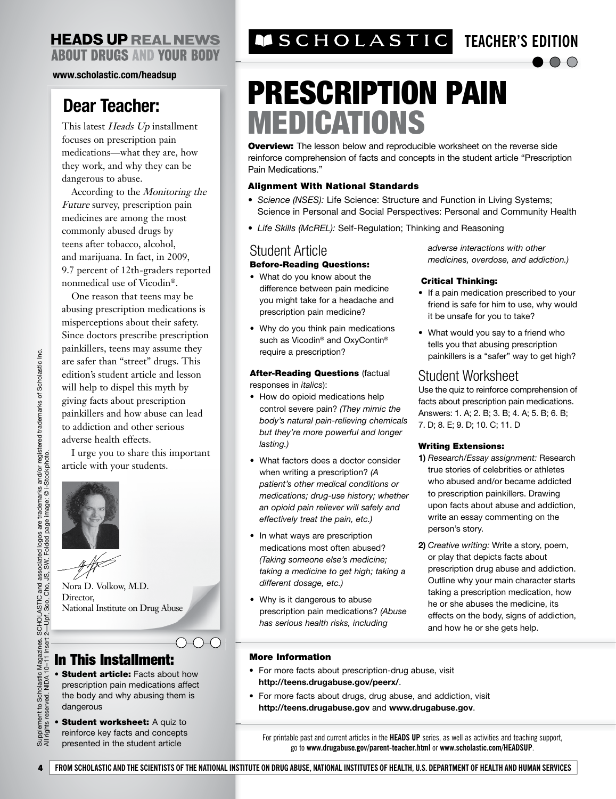**www.scholastic.com/headsup**

## **Dear Teacher:**

This latest Heads Up installment focuses on prescription pain medications—what they are, how they work, and why they can be dangerous to abuse.

According to the Monitoring the Future survey, prescription pain medicines are among the most commonly abused drugs by teens after tobacco, alcohol, and marijuana. In fact, in 2009, 9.7 percent of 12th-graders reported nonmedical use of Vicodin®.

One reason that teens may be abusing prescription medications is misperceptions about their safety. Since doctors prescribe prescription painkillers, teens may assume they are safer than "street" drugs. This edition's student article and lesson will help to dispel this myth by giving facts about prescription painkillers and how abuse can lead to addiction and other serious adverse health effects.

I urge you to share this important article with your students.



Nora D. Volkow, M.D. Director, National Institute on Drug Abuse

## In This Installment:

- Student article: Facts about how prescription pain medications affect the body and why abusing them is dangerous
- Student worksheet: A quiz to reinforce key facts and concepts presented in the student article

## **TEACHER'S EDITION**

# PRESCRIPTION PAIN MEDICATIONS

**Overview:** The lesson below and reproducible worksheet on the reverse side reinforce comprehension of facts and concepts in the student article "Prescription Pain Medications."

#### Alignment With National Standards

- *Science (NSES):* Life Science: Structure and Function in Living Systems; Science in Personal and Social Perspectives: Personal and Community Health
- *Life Skills (McREL):* Self-Regulation; Thinking and Reasoning

## Student Article

#### Before-Reading Questions:

- What do you know about the difference between pain medicine you might take for a headache and prescription pain medicine?
- Why do you think pain medications such as Vicodin<sup>®</sup> and OxyContin<sup>®</sup> require a prescription?

**After-Reading Questions (factual** responses in *italics*):

- How do opioid medications help control severe pain? *(They mimic the body's natural pain-relieving chemicals but they're more powerful and longer lasting.)*
- What factors does a doctor consider when writing a prescription? *(A patient's other medical conditions or medications; drug-use history; whether an opioid pain reliever will safely and effectively treat the pain, etc.)*
- In what ways are prescription medications most often abused? *(Taking someone else's medicine; taking a medicine to get high; taking a different dosage, etc.)*
- Why is it dangerous to abuse prescription pain medications? *(Abuse has serious health risks, including*

*adverse interactions with other medicines, overdose, and addiction.)*

 $\bigcirc$ 

#### Critical Thinking:

- If a pain medication prescribed to your friend is safe for him to use, why would it be unsafe for you to take?
- What would you say to a friend who tells you that abusing prescription painkillers is a "safer" way to get high?

## Student Worksheet

Use the quiz to reinforce comprehension of facts about prescription pain medications. Answers: 1. A; 2. B; 3. B; 4. A; 5. B; 6. B; 7. D; 8. E; 9. D; 10. C; 11. D

#### Writing Extensions:

- **1)** *Research/Essay assignment:* Research true stories of celebrities or athletes who abused and/or became addicted to prescription painkillers. Drawing upon facts about abuse and addiction, write an essay commenting on the person's story.
- **2)** *Creative writing:* Write a story, poem, or play that depicts facts about prescription drug abuse and addiction. Outline why your main character starts taking a prescription medication, how he or she abuses the medicine, its effects on the body, signs of addiction, and how he or she gets help.

#### More Information

- For more facts about prescription-drug abuse, visit **http://teens.drugabuse.gov/peerx/**.
- For more facts about drugs, drug abuse, and addiction, visit **http://teens.drugabuse.gov** and **www.drugabuse.gov**.

For printable past and current articles in the **HEADS UP** series, as well as activities and teaching support, go to **www.drugabuse.gov/parent-teacher.html** or **www.scholastic.com/HEADSUP**.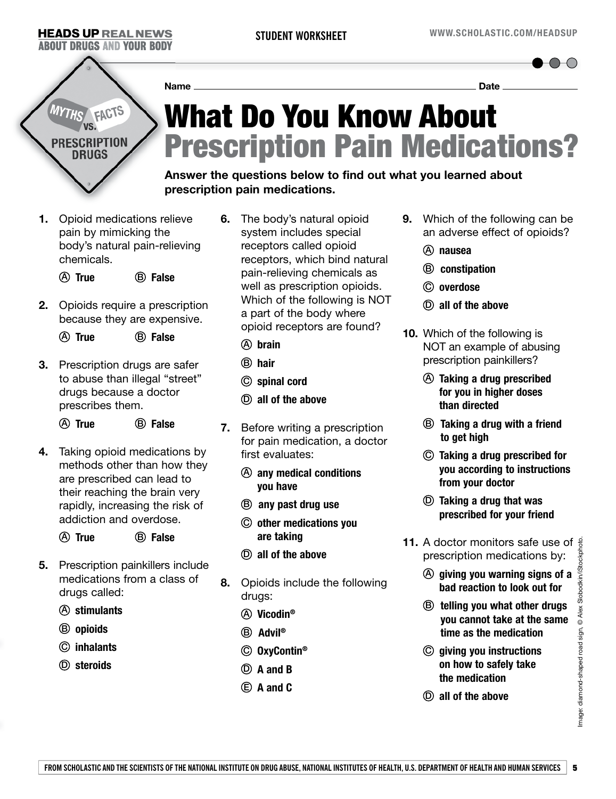$\bigcap_{\alpha\in\mathbb{N}}\mathbb{C}$ 

# FACTS **RESCRIPTION** DRUGS

## What Do You Know About Prescription Pain Medications? **Name Date**

**Answer the questions below to find out what you learned about prescription pain medications.**

**1.** Opioid medications relieve pain by mimicking the body's natural pain-relieving chemicals.

A **True** B **False**

- **2.** Opioids require a prescription because they are expensive.
	- A **True** B **False**
- **3.** Prescription drugs are safer to abuse than illegal "street" drugs because a doctor prescribes them.
	- A **True** B **False**
- **4.** Taking opioid medications by methods other than how they are prescribed can lead to their reaching the brain very rapidly, increasing the risk of addiction and overdose.
	- A **True** B **False**
- **5.** Prescription painkillers include medications from a class of drugs called:
	- A **stimulants**
	- B **opioids**
	- C **inhalants**
	- D **steroids**
- **6.** The body's natural opioid system includes special receptors called opioid receptors, which bind natural pain-relieving chemicals as well as prescription opioids. Which of the following is NOT a part of the body where opioid receptors are found?
	- A **brain**
	- B **hair**
	- C **spinal cord**
	- D **all of the above**
- **7.** Before writing a prescription for pain medication, a doctor first evaluates:
	- A **any medical conditions you have**
	- B **any past drug use**
	- C **other medications you are taking**
	- D **all of the above**
- **8.** Opioids include the following drugs:
	- A **Vicodin®**
	- B **Advil®**
	- C **OxyContin®**
	- D **A and B**
	- E **A and C**
- **9.** Which of the following can be an adverse effect of opioids?
	- A **nausea**
	- B **constipation**
	- C **overdose**
	- D **all of the above**
- **10.** Which of the following is NOT an example of abusing prescription painkillers?
	- A **Taking a drug prescribed for you in higher doses than directed**
	- B **Taking a drug with a friend to get high**
	- C **Taking a drug prescribed for you according to instructions from your doctor**
	- D **Taking a drug that was prescribed for your friend**
- **11.** A doctor monitors safe use of  $\frac{3}{5}$ prescription medications by:
	- A **giving you warning signs of a bad reaction to look out for**
	- B **telling you what other drugs you cannot take at the same time as the medication**
	- C **giving you instructions on how to safely take the medication**
	- D **all of the above**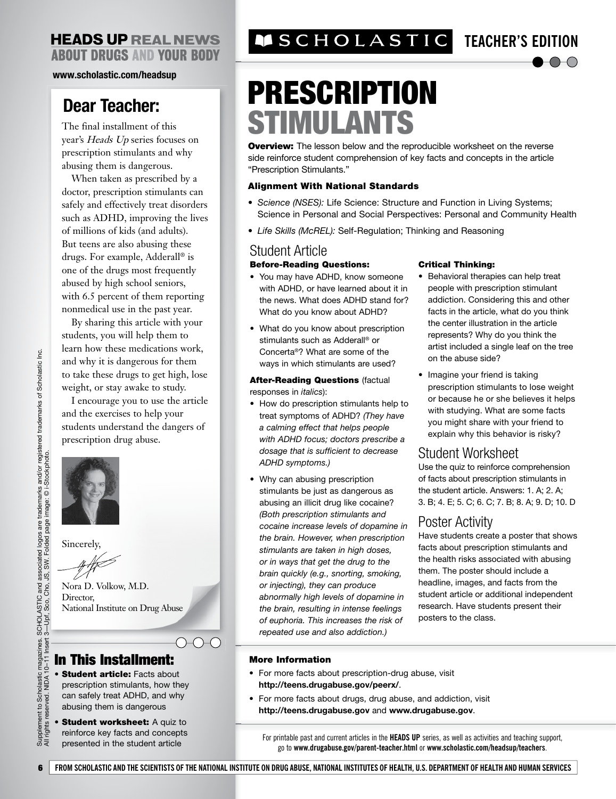**www.scholastic.com/headsup**

## **Dear Teacher:**

The final installment of this year's Heads Up series focuses on prescription stimulants and why abusing them is dangerous.

When taken as prescribed by a doctor, prescription stimulants can safely and effectively treat disorders such as ADHD, improving the lives of millions of kids (and adults). But teens are also abusing these drugs. For example, Adderall® is one of the drugs most frequently abused by high school seniors, with 6.5 percent of them reporting nonmedical use in the past year.

By sharing this article with your students, you will help them to learn how these medications work, and why it is dangerous for them to take these drugs to get high, lose weight, or stay awake to study.

I encourage you to use the article and the exercises to help your students understand the dangers of prescription drug abuse.



Sincerely,

Nora D. Volkow, M.D. Director, National Institute on Drug Abuse

## In This Installment:

- Student article: Facts about prescription stimulants, how they can safely treat ADHD, and why abusing them is dangerous
- Student worksheet: A quiz to reinforce key facts and concepts presented in the student article

## **TEACHER'S EDITION**

## $\bigcirc$

# PRESCRIPTION STIMULANTS

**Overview:** The lesson below and the reproducible worksheet on the reverse side reinforce student comprehension of key facts and concepts in the article "Prescription Stimulants."

#### Alignment With National Standards

- *Science (NSES):* Life Science: Structure and Function in Living Systems; Science in Personal and Social Perspectives: Personal and Community Health
- *Life Skills (McREL):* Self-Regulation; Thinking and Reasoning

### Student Article

#### Before-Reading Questions:

- You may have ADHD, know someone with ADHD, or have learned about it in the news. What does ADHD stand for? What do you know about ADHD?
- What do you know about prescription stimulants such as Adderall® or Concerta®? What are some of the ways in which stimulants are used?

**After-Reading Questions (factual** responses in *italics*):

- How do prescription stimulants help to treat symptoms of ADHD? *(They have a calming effect that helps people with ADHD focus; doctors prescribe a dosage that is sufficient to decrease ADHD symptoms.)*
- Why can abusing prescription stimulants be just as dangerous as abusing an illicit drug like cocaine? *(Both prescription stimulants and cocaine increase levels of dopamine in the brain. However, when prescription stimulants are taken in high doses, or in ways that get the drug to the brain quickly (e.g., snorting, smoking, or injecting), they can produce abnormally high levels of dopamine in the brain, resulting in intense feelings of euphoria. This increases the risk of repeated use and also addiction.)*

#### Critical Thinking:

- Behavioral therapies can help treat people with prescription stimulant addiction. Considering this and other facts in the article, what do you think the center illustration in the article represents? Why do you think the artist included a single leaf on the tree on the abuse side?
- Imagine your friend is taking prescription stimulants to lose weight or because he or she believes it helps with studying. What are some facts you might share with your friend to explain why this behavior is risky?

## Student Worksheet

Use the quiz to reinforce comprehension of facts about prescription stimulants in the student article. Answers: 1. A; 2. A; 3. B; 4. E; 5. C; 6. C; 7. B; 8. A; 9. D; 10. D

## Poster Activity

Have students create a poster that shows facts about prescription stimulants and the health risks associated with abusing them. The poster should include a headline, images, and facts from the student article or additional independent research. Have students present their posters to the class.

#### More Information

- For more facts about prescription-drug abuse, visit **http://teens.drugabuse.gov/peerx/**.
- For more facts about drugs, drug abuse, and addiction, visit **http://teens.drugabuse.gov** and **www.drugabuse.gov**.

For printable past and current articles in the **HEADS UP** series, as well as activities and teaching support, go to **www.drugabuse.gov/parent-teacher.html** or **www.scholastic.com/headsup/teachers**.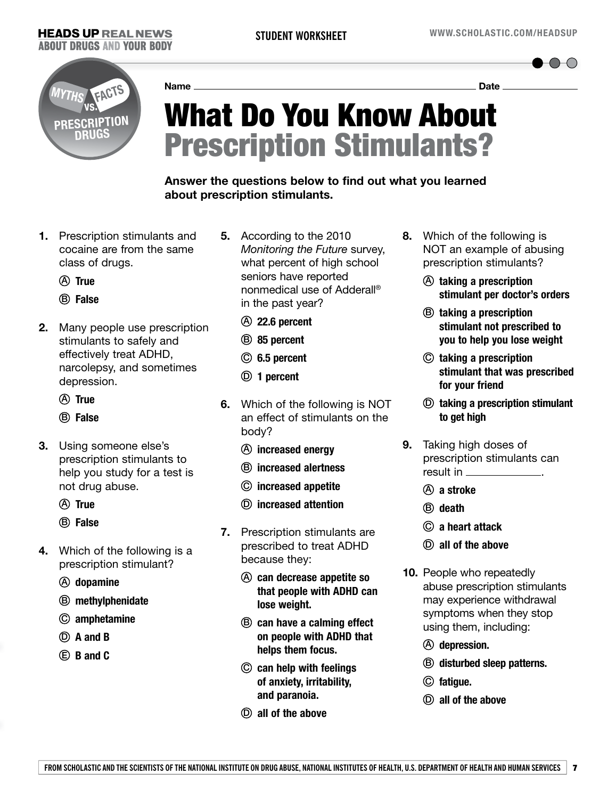$\bullet$ O-O



**Name Date** 

# What Do You Know About Prescription Stimulants?

### **Answer the questions below to find out what you learned about prescription stimulants.**

- **1.** Prescription stimulants and cocaine are from the same class of drugs.
	- A **True**
	- B **False**
- **2.** Many people use prescription stimulants to safely and effectively treat ADHD, narcolepsy, and sometimes depression.
	- A **True**
	- B **False**
- **3.** Using someone else's prescription stimulants to help you study for a test is not drug abuse.
	- A **True**
	- B **False**
- **4.** Which of the following is a prescription stimulant?
	- A **dopamine**
	- B **methylphenidate**
	- C **amphetamine**
	- D **A and B**
	- E **B and C**
- **5.** According to the 2010 *Monitoring the Future* survey, what percent of high school seniors have reported nonmedical use of Adderall® in the past year?
	- A **22.6 percent**
	- B **85 percent**
	- C **6.5 percent**
	- D **1 percent**
- **6.** Which of the following is NOT an effect of stimulants on the body?
	- A **increased energy**
	- B **increased alertness**
	- C **increased appetite**
	- D **increased attention**
- **7.** Prescription stimulants are prescribed to treat ADHD because they:
	- A **can decrease appetite so that people with ADHD can lose weight.**
	- B **can have a calming effect on people with ADHD that helps them focus.**
	- C **can help with feelings of anxiety, irritability, and paranoia.**
	- D **all of the above**
- **8.** Which of the following is NOT an example of abusing prescription stimulants?
	- A **taking a prescription stimulant per doctor's orders**
	- B **taking a prescription stimulant not prescribed to you to help you lose weight**
	- C **taking a prescription stimulant that was prescribed for your friend**
	- D **taking a prescription stimulant to get high**
- **9.** Taking high doses of prescription stimulants can result in .
	- A **a stroke**
	- B **death**
	- C **a heart attack**
	- D **all of the above**
- **10.** People who repeatedly abuse prescription stimulants may experience withdrawal symptoms when they stop using them, including:
	- A **depression.**
	- B **disturbed sleep patterns.**
	- C **fatigue.**
	- D **all of the above**